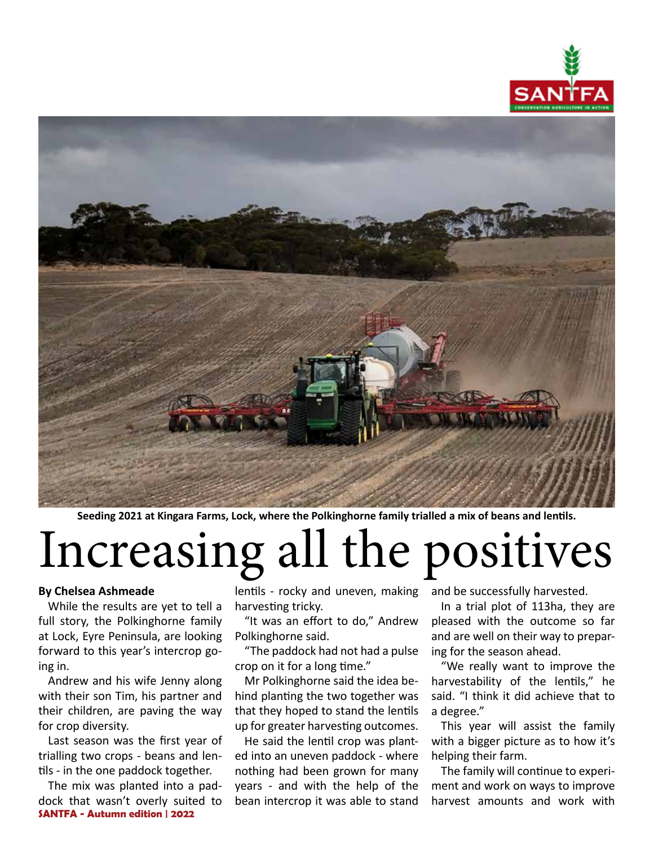



**Seeding 2021 at Kingara Farms, Lock, where the Polkinghorne family trialled a mix of beans and lentils.** 

# Increasing all the positives

#### **By Chelsea Ashmeade**

While the results are yet to tell a full story, the Polkinghorne family at Lock, Eyre Peninsula, are looking forward to this year's intercrop going in.

Andrew and his wife Jenny along with their son Tim, his partner and their children, are paving the way for crop diversity.

Last season was the first year of trialling two crops - beans and lentils - in the one paddock together.

**SANTFA - Autumn edition | 2022** The mix was planted into a paddock that wasn't overly suited to

lentils - rocky and uneven, making harvesting tricky.

"It was an effort to do," Andrew Polkinghorne said.

"The paddock had not had a pulse crop on it for a long time."

Mr Polkinghorne said the idea behind planting the two together was that they hoped to stand the lentils up for greater harvesting outcomes.

He said the lentil crop was planted into an uneven paddock - where nothing had been grown for many years - and with the help of the bean intercrop it was able to stand and be successfully harvested.

In a trial plot of 113ha, they are pleased with the outcome so far and are well on their way to preparing for the season ahead.

"We really want to improve the harvestability of the lentils," he said. "I think it did achieve that to a degree."

This year will assist the family with a bigger picture as to how it's helping their farm.

The family will continue to experiment and work on ways to improve harvest amounts and work with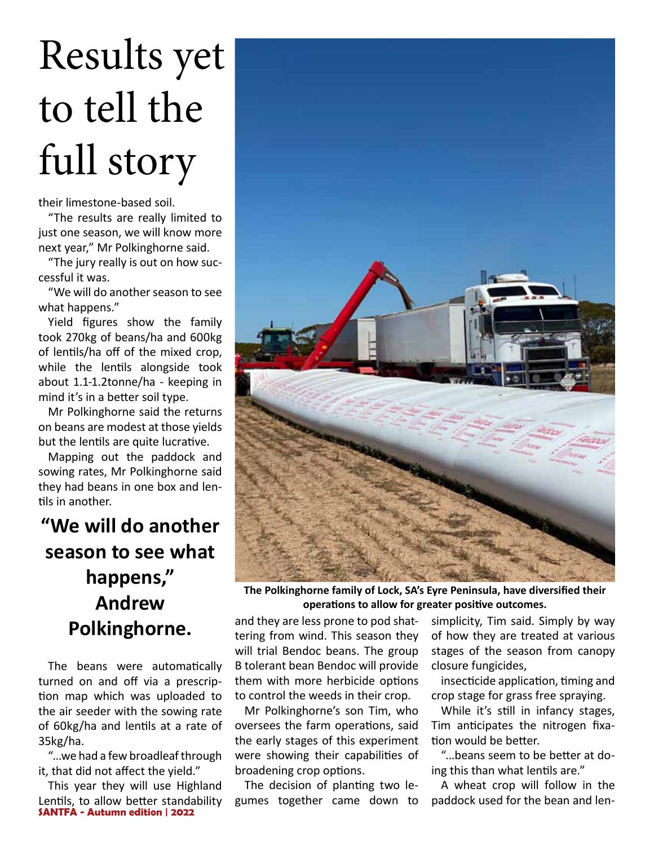# Results yet to tell the full story

their limestone-based soil.

"The results are really limited to just one season, we will know more next year," Mr Polkinghorne said.

"The jury really is out on how successful it was.

"We will do another season to see what happens."

Yield figures show the family took 270kg of beans/ha and 600kg of lentils/ha off of the mixed crop, while the lentils alongside took about 1.1-1.2tonne/ha - keeping in mind it's in a better soil type.

Mr Polkinghorne said the returns on beans are modest at those yields but the lentils are quite lucrative.

Mapping out the paddock and sowing rates, Mr Polkinghorne said they had beans in one box and lentils in another.

### **"We will do another season to see what happens," Andrew Polkinghorne.**

The beans were automatically turned on and off via a prescription map which was uploaded to the air seeder with the sowing rate of 60kg/ha and lentils at a rate of 35kg/ha.

"...we had a few broadleaf through it, that did not affect the yield."

**SANTFA - Autumn edition | 2022** This year they will use Highland Lentils, to allow better standability



**The Polkinghorne family of Lock, SA's Eyre Peninsula, have diversified their operations to allow for greater positive outcomes.** 

and they are less prone to pod shattering from wind. This season they will trial Bendoc beans. The group B tolerant bean Bendoc will provide them with more herbicide options to control the weeds in their crop.

Mr Polkinghorne's son Tim, who oversees the farm operations, said the early stages of this experiment were showing their capabilities of broadening crop options.

The decision of planting two legumes together came down to simplicity, Tim said. Simply by way of how they are treated at various stages of the season from canopy closure fungicides,

insecticide application, timing and crop stage for grass free spraying.

While it's still in infancy stages, Tim anticipates the nitrogen fixation would be better.

"...beans seem to be better at doing this than what lentils are."

A wheat crop will follow in the paddock used for the bean and len-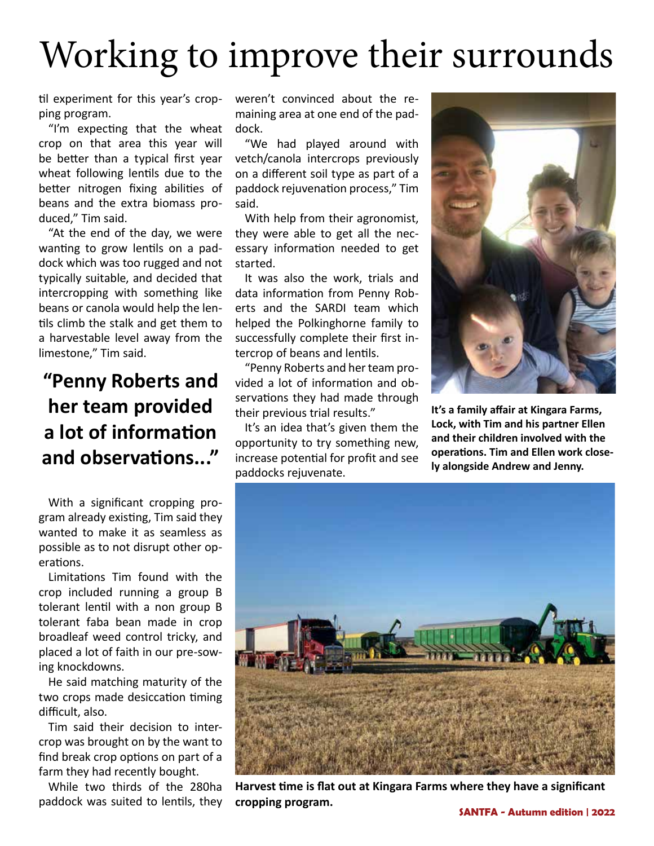## Working to improve their surrounds

til experiment for this year's cropping program.

"I'm expecting that the wheat crop on that area this year will be better than a typical first year wheat following lentils due to the better nitrogen fixing abilities of beans and the extra biomass produced," Tim said.

"At the end of the day, we were wanting to grow lentils on a paddock which was too rugged and not typically suitable, and decided that intercropping with something like beans or canola would help the lentils climb the stalk and get them to a harvestable level away from the limestone," Tim said.

### **"Penny Roberts and her team provided a lot of information and observations..."**

With a significant cropping program already existing, Tim said they wanted to make it as seamless as possible as to not disrupt other operations.

Limitations Tim found with the crop included running a group B tolerant lentil with a non group B tolerant faba bean made in crop broadleaf weed control tricky, and placed a lot of faith in our pre-sowing knockdowns.

He said matching maturity of the two crops made desiccation timing difficult, also.

Tim said their decision to intercrop was brought on by the want to find break crop options on part of a farm they had recently bought.

While two thirds of the 280ha paddock was suited to lentils, they weren't convinced about the remaining area at one end of the paddock.

"We had played around with vetch/canola intercrops previously on a different soil type as part of a paddock rejuvenation process," Tim said.

With help from their agronomist, they were able to get all the necessary information needed to get started.

It was also the work, trials and data information from Penny Roberts and the SARDI team which helped the Polkinghorne family to successfully complete their first intercrop of beans and lentils.

"Penny Roberts and her team provided a lot of information and observations they had made through their previous trial results."

It's an idea that's given them the opportunity to try something new, increase potential for profit and see paddocks rejuvenate.



**It's a family affair at Kingara Farms, Lock, with Tim and his partner Ellen and their children involved with the operations. Tim and Ellen work closely alongside Andrew and Jenny.** 



**Harvest time is flat out at Kingara Farms where they have a significant cropping program.**